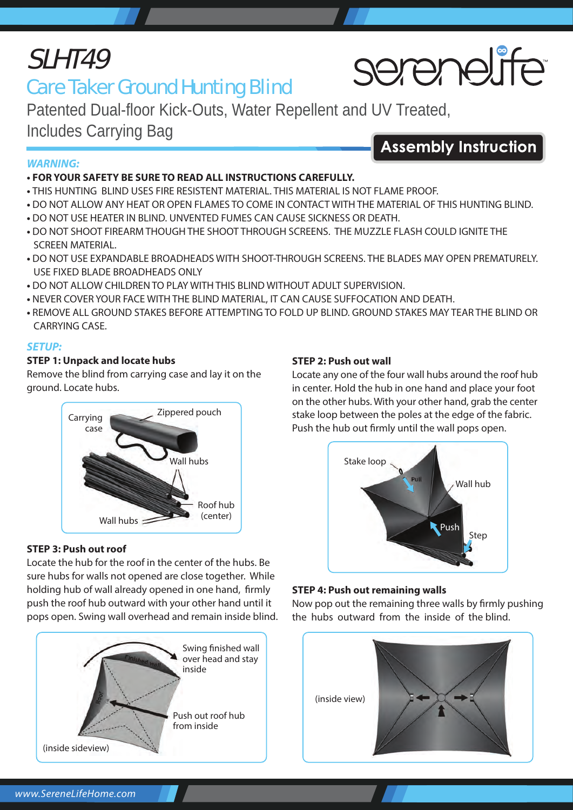## SLHT49

### Care Taker Ground Hunting Blind

Patented Dual-floor Kick-Outs, Water Repellent and UV Treated, Includes Carrying Bag **Assembly Instruction** 

#### *WARNING:*

#### **• FOR YOUR SAFETY BE SURE TO READ ALL INSTRUCTIONS CAREFULLY.**

- THIS HUNTING BLIND USES FIRE RESISTENT MATERIAL. THIS MATERIAL IS NOT FLAME PROOF.
- DO NOT ALLOW ANY HEAT OR OPEN FLAMES TO COME IN CONTACT WITH THE MATERIAL OF THIS HUNTING BLIND.
- DO NOT USE HEATER IN BLIND. UNVENTED FUMES CAN CAUSE SICKNESS OR DEATH.
- DO NOT SHOOT FIREARM THOUGH THE SHOOT THROUGH SCREENS. THE MUZZLE FLASH COULD IGNITE THE SCREEN MATERIAL.
- DO NOT USE EXPANDABLE BROADHEADS WITH SHOOT-THROUGH SCREENS. THE BLADES MAY OPEN PREMATURELY. USE FIXED BLADE BROADHEADS ONLY
- DO NOT ALLOW CHILDREN TO PLAY WITH THIS BLIND WITHOUT ADULT SUPERVISION.
- NEVER COVER YOUR FACE WITH THE BLIND MATERIAL, IT CAN CAUSE SUFFOCATION AND DEATH.
- REMOVE ALL GROUND STAKES BEFORE ATTEMPTING TO FOLD UP BLIND. GROUND STAKES MAY TEAR THE BLIND OR CARRYING CASE.

#### *SETUP:*

#### **STEP 1: Unpack and locate hubs**

Remove the blind from carrying case and lay it on the ground. Locate hubs.



#### **STEP 3: Push out roof**

Locate the hub for the roof in the center of the hubs. Be sure hubs for walls not opened are close together. While holding hub of wall already opened in one hand, firmly push the roof hub outward with your other hand until it pops open. Swing wall overhead and remain inside blind.



#### **STEP 2: Push out wall**

Locate any one of the four wall hubs around the roof hub in center. Hold the hub in one hand and place your foot on the other hubs. With your other hand, grab the center stake loop between the poles at the edge of the fabric. Push the hub out firmly until the wall pops open.



#### **STEP 4: Push out remaining walls**

Now pop out the remaining three walls by firmly pushing the hubs outward from the inside of the blind.



# serenelife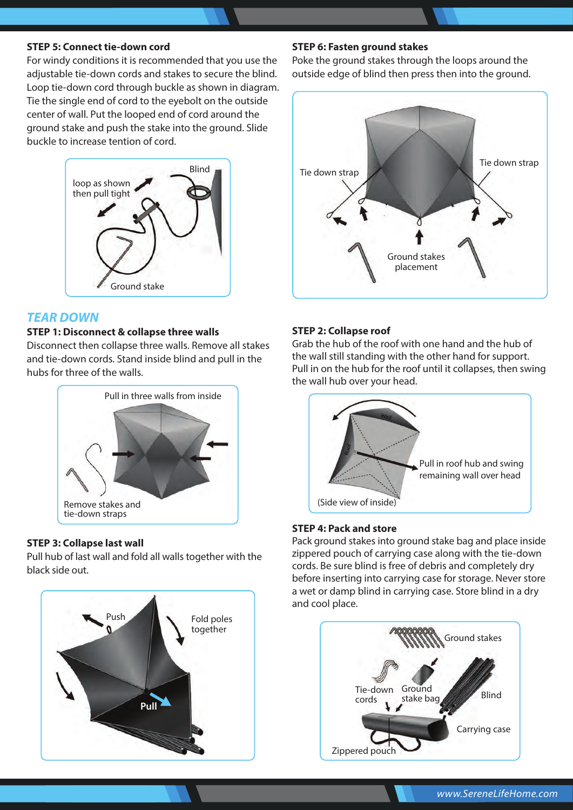#### **STEP 5: Connect tie-down cord**

For windy conditions it is recommended that you use the adjustable tie-down cords and stakes to secure the blind. Loop tie-down cord through buckle as shown in diagram. Tie the single end of cord to the eyebolt on the outside center of wall. Put the looped end of cord around the ground stake and push the stake into the ground. Slide buckle to increase tention of cord.



#### *TEAR DOWN*

#### **STEP 1: Disconnect & collapse three walls**

Disconnect then collapse three walls. Remove all stakes and tie-down cords. Stand inside blind and pull in the hubs for three of the walls.



#### **STEP 3: Collapse last wall**

Pull hub of last wall and fold all walls together with the black side out.



#### **STEP 6: Fasten ground stakes**

Poke the ground stakes through the loops around the outside edge of blind then press then into the ground.



#### **STEP 2: Collapse roof**

Grab the hub of the roof with one hand and the hub of the wall still standing with the other hand for support. Pull in on the hub for the roof until it collapses, then swing the wall hub over your head.



#### **STEP 4: Pack and store**

Pack ground stakes into ground stake bag and place inside zippered pouch of carrying case along with the tie-down cords. Be sure blind is free of debris and completely dry before inserting into carrying case for storage. Never store a wet or damp blind in carrying case. Store blind in a dry and cool place.

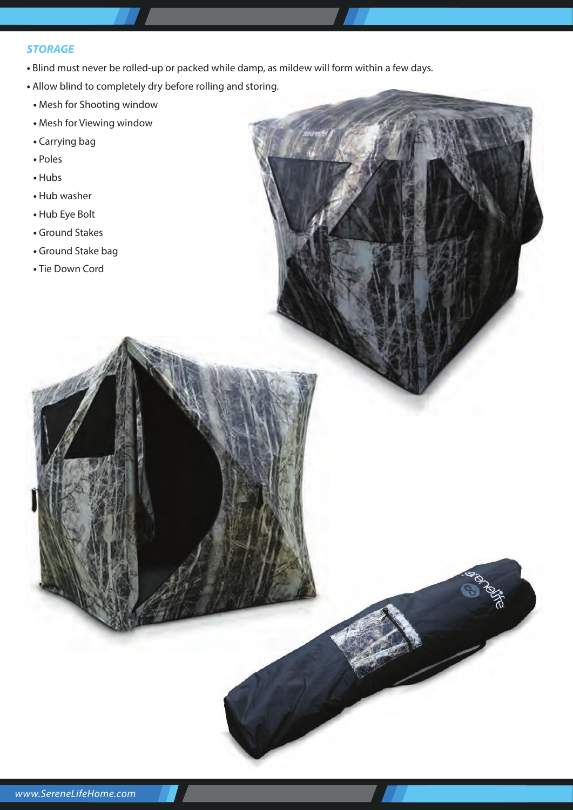#### *STORAGE*

- Blind must never be rolled-up or packed while damp, as mildew will form within a few days.
- Allow blind to completely dry before rolling and storing.
- Mesh for Shooting window
- Mesh for Viewing window
- Carrying bag
- Poles
- Hubs
- Hub washer
- Hub Eye Bolt
- Ground Stakes
- Ground Stake bag
- Tie Down Cord